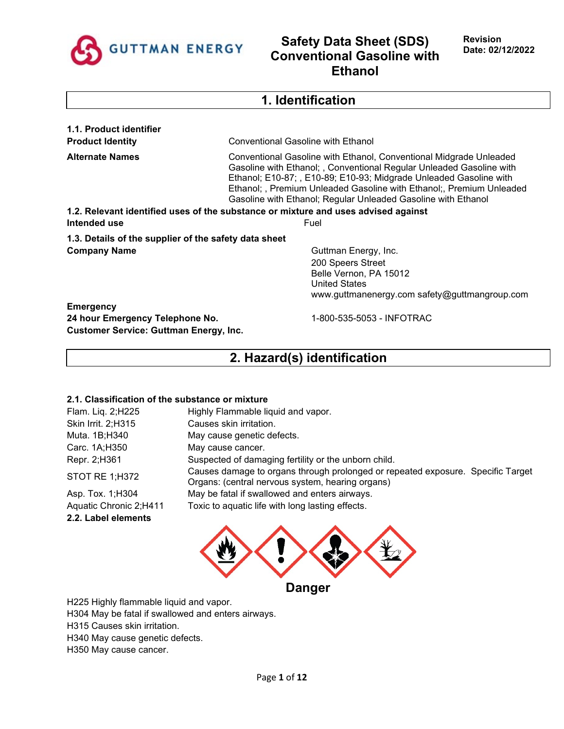

## **1. Identification**

**1.1. Product identifier**

**Product Identity** Conventional Gasoline with Ethanol

**Alternate Names** Conventional Gasoline with Ethanol, Conventional Midgrade Unleaded Gasoline with Ethanol; , Conventional Regular Unleaded Gasoline with Ethanol; E10-87; , E10-89; E10-93; Midgrade Unleaded Gasoline with Ethanol; , Premium Unleaded Gasoline with Ethanol;, Premium Unleaded Gasoline with Ethanol; Regular Unleaded Gasoline with Ethanol

**1.2. Relevant identified uses of the substance or mixture and uses advised against Intended use** Fuel

**1.3. Details of the supplier of the safety data sheet Company Name** Guttman Energy, Inc.

200 Speers Street Belle Vernon, PA 15012 United States www.guttmanenergy.com safety@guttmangroup.com

**Emergency 24 hour Emergency Telephone No.** 1-800-535-5053 - INFOTRAC **Customer Service: Guttman Energy, Inc.**

## **2. Hazard(s) identification**

### **2.1. Classification of the substance or mixture**

| Flam. Liq. 2;H225      | Highly Flammable liquid and vapor.                                                                                                  |
|------------------------|-------------------------------------------------------------------------------------------------------------------------------------|
| Skin Irrit. 2;H315     | Causes skin irritation.                                                                                                             |
| Muta. 1B;H340          | May cause genetic defects.                                                                                                          |
| Carc. 1A;H350          | May cause cancer.                                                                                                                   |
| Repr. 2;H361           | Suspected of damaging fertility or the unborn child.                                                                                |
| STOT RE 1;H372         | Causes damage to organs through prolonged or repeated exposure. Specific Target<br>Organs: (central nervous system, hearing organs) |
| Asp. Tox. 1; H304      | May be fatal if swallowed and enters airways.                                                                                       |
| Aquatic Chronic 2;H411 | Toxic to aquatic life with long lasting effects.                                                                                    |
| 2.2. Label elements    |                                                                                                                                     |



H225 Highly flammable liquid and vapor.

H304 May be fatal if swallowed and enters airways.

H315 Causes skin irritation.

H340 May cause genetic defects.

H350 May cause cancer.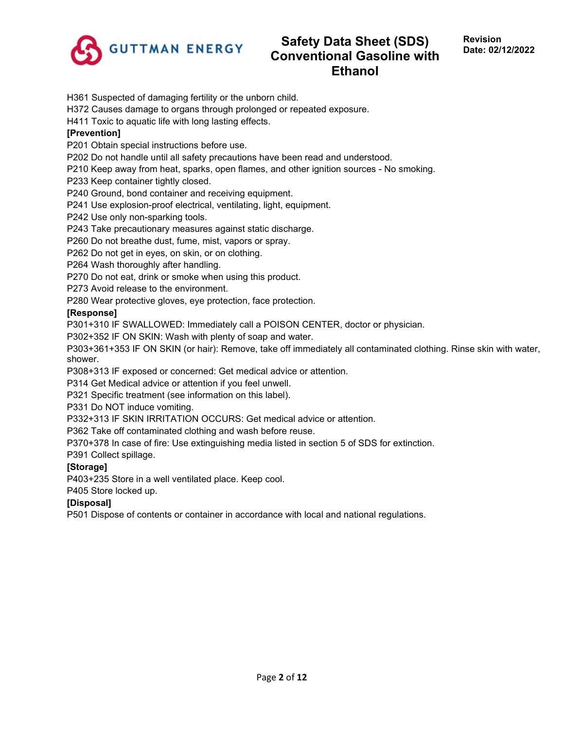

H361 Suspected of damaging fertility or the unborn child.

H372 Causes damage to organs through prolonged or repeated exposure.

H411 Toxic to aquatic life with long lasting effects.

## **[Prevention]**

P201 Obtain special instructions before use.

P202 Do not handle until all safety precautions have been read and understood.

P210 Keep away from heat, sparks, open flames, and other ignition sources - No smoking.

P233 Keep container tightly closed.

P240 Ground, bond container and receiving equipment.

P241 Use explosion-proof electrical, ventilating, light, equipment.

P242 Use only non-sparking tools.

P243 Take precautionary measures against static discharge.

P260 Do not breathe dust, fume, mist, vapors or spray.

P262 Do not get in eyes, on skin, or on clothing.

P264 Wash thoroughly after handling.

P270 Do not eat, drink or smoke when using this product.

P273 Avoid release to the environment.

P280 Wear protective gloves, eye protection, face protection.

### **[Response]**

P301+310 IF SWALLOWED: Immediately call a POISON CENTER, doctor or physician.

P302+352 IF ON SKIN: Wash with plenty of soap and water.

P303+361+353 IF ON SKIN (or hair): Remove, take off immediately all contaminated clothing. Rinse skin with water, shower.

P308+313 IF exposed or concerned: Get medical advice or attention.

P314 Get Medical advice or attention if you feel unwell.

P321 Specific treatment (see information on this label).

P331 Do NOT induce vomiting.

P332+313 IF SKIN IRRITATION OCCURS: Get medical advice or attention.

P362 Take off contaminated clothing and wash before reuse.

P370+378 In case of fire: Use extinguishing media listed in section 5 of SDS for extinction.

P391 Collect spillage.

## **[Storage]**

P403+235 Store in a well ventilated place. Keep cool.

P405 Store locked up.

## **[Disposal]**

P501 Dispose of contents or container in accordance with local and national regulations.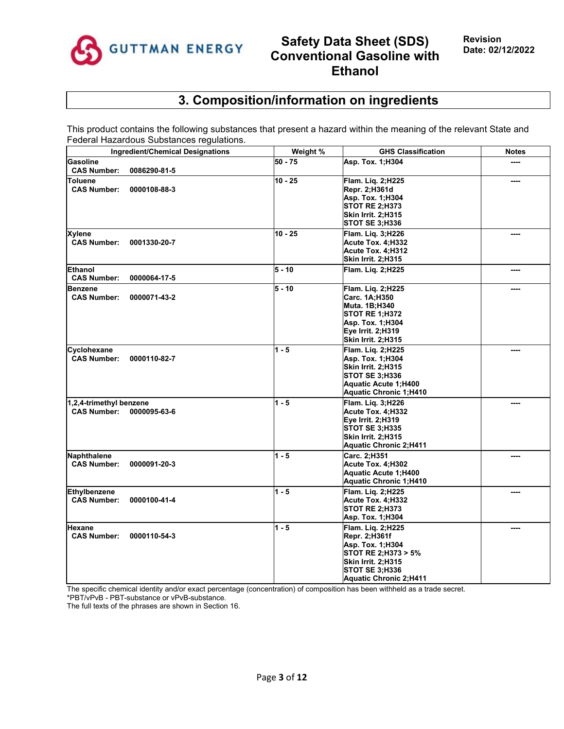

# **3. Composition/information on ingredients**

This product contains the following substances that present a hazard within the meaning of the relevant State and Federal Hazardous Substances regulations.

| <b>Ingredient/Chemical Designations</b>                       | Weight %  | <b>GHS Classification</b>                                                                                                                                     | <b>Notes</b> |
|---------------------------------------------------------------|-----------|---------------------------------------------------------------------------------------------------------------------------------------------------------------|--------------|
| <b>Gasoline</b><br><b>CAS Number:</b><br>0086290-81-5         | $50 - 75$ | Asp. Tox. 1;H304                                                                                                                                              |              |
| <b>Toluene</b><br><b>CAS Number:</b><br>0000108-88-3          | $10 - 25$ | Flam. Lig. 2;H225<br>Repr. 2;H361d<br>Asp. Tox. 1;H304<br><b>STOT RE 2:H373</b><br><b>Skin Irrit. 2:H315</b><br><b>STOT SE 3;H336</b>                         |              |
| <b>Xylene</b><br><b>CAS Number:</b><br>0001330-20-7           | $10 - 25$ | Flam. Liq. 3;H226<br>Acute Tox. 4:H332<br>Acute Tox. 4;H312<br><b>Skin Irrit. 2;H315</b>                                                                      |              |
| <b>Ethanol</b><br><b>CAS Number:</b><br>0000064-17-5          | $5 - 10$  | Flam. Liq. 2;H225                                                                                                                                             |              |
| <b>Benzene</b><br><b>CAS Number:</b><br>0000071-43-2          | $5 - 10$  | Flam. Liq. 2;H225<br>Carc. 1A;H350<br>Muta. 1B;H340<br><b>STOT RE 1:H372</b><br>Asp. Tox. 1;H304<br>Eye Irrit. 2;H319<br><b>Skin Irrit. 2;H315</b>            |              |
| Cyclohexane<br><b>CAS Number:</b><br>0000110-82-7             | $1 - 5$   | Flam. Lig. 2;H225<br>Asp. Tox. 1; H304<br><b>Skin Irrit. 2:H315</b><br><b>STOT SE 3;H336</b><br>Aquatic Acute 1;H400<br><b>Aquatic Chronic 1;H410</b>         |              |
| 1,2,4-trimethyl benzene<br><b>CAS Number:</b><br>0000095-63-6 | $1 - 5$   | Flam. Lig. 3;H226<br>Acute Tox. 4;H332<br>Eye Irrit. 2;H319<br><b>STOT SE 3:H335</b><br><b>Skin Irrit. 2;H315</b><br><b>Aquatic Chronic 2;H411</b>            |              |
| Naphthalene<br><b>CAS Number:</b><br>0000091-20-3             | $1 - 5$   | Carc. 2;H351<br>Acute Tox. 4;H302<br><b>Aquatic Acute 1;H400</b><br><b>Aquatic Chronic 1;H410</b>                                                             |              |
| <b>Ethylbenzene</b><br><b>CAS Number:</b><br>0000100-41-4     | $1 - 5$   | Flam. Liq. 2;H225<br>Acute Tox. 4:H332<br><b>STOT RE 2;H373</b><br>Asp. Tox. 1; H304                                                                          | ----         |
| Hexane<br><b>CAS Number:</b><br>0000110-54-3                  | $1 - 5$   | Flam. Lig. 2;H225<br>Repr. 2;H361f<br>Asp. Tox. 1;H304<br>STOT RE 2;H373 > 5%<br>Skin Irrit. 2:H315<br><b>STOT SE 3;H336</b><br><b>Aquatic Chronic 2:H411</b> |              |

The specific chemical identity and/or exact percentage (concentration) of composition has been withheld as a trade secret. \*PBT/vPvB - PBT-substance or vPvB-substance.

The full texts of the phrases are shown in Section 16.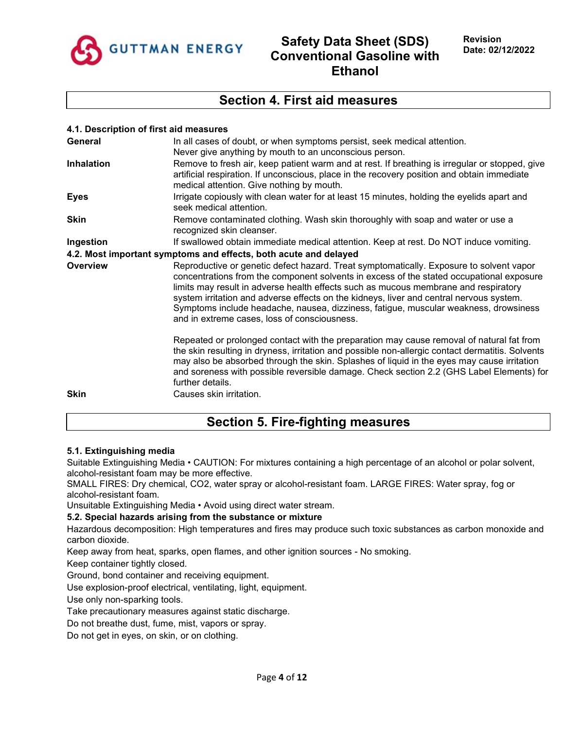

## **Section 4. First aid measures**

| 4.1. Description of first aid measures |                                                                                                                                                                                                                                                                                                                                                                                                                                                                                                               |
|----------------------------------------|---------------------------------------------------------------------------------------------------------------------------------------------------------------------------------------------------------------------------------------------------------------------------------------------------------------------------------------------------------------------------------------------------------------------------------------------------------------------------------------------------------------|
| General                                | In all cases of doubt, or when symptoms persist, seek medical attention.<br>Never give anything by mouth to an unconscious person.                                                                                                                                                                                                                                                                                                                                                                            |
| <b>Inhalation</b>                      | Remove to fresh air, keep patient warm and at rest. If breathing is irregular or stopped, give<br>artificial respiration. If unconscious, place in the recovery position and obtain immediate<br>medical attention. Give nothing by mouth.                                                                                                                                                                                                                                                                    |
| <b>Eyes</b>                            | Irrigate copiously with clean water for at least 15 minutes, holding the eyelids apart and<br>seek medical attention.                                                                                                                                                                                                                                                                                                                                                                                         |
| <b>Skin</b>                            | Remove contaminated clothing. Wash skin thoroughly with soap and water or use a<br>recognized skin cleanser.                                                                                                                                                                                                                                                                                                                                                                                                  |
| Ingestion                              | If swallowed obtain immediate medical attention. Keep at rest. Do NOT induce vomiting.                                                                                                                                                                                                                                                                                                                                                                                                                        |
|                                        | 4.2. Most important symptoms and effects, both acute and delayed                                                                                                                                                                                                                                                                                                                                                                                                                                              |
| Overview                               | Reproductive or genetic defect hazard. Treat symptomatically. Exposure to solvent vapor<br>concentrations from the component solvents in excess of the stated occupational exposure<br>limits may result in adverse health effects such as mucous membrane and respiratory<br>system irritation and adverse effects on the kidneys, liver and central nervous system.<br>Symptoms include headache, nausea, dizziness, fatigue, muscular weakness, drowsiness<br>and in extreme cases, loss of consciousness. |
|                                        | Repeated or prolonged contact with the preparation may cause removal of natural fat from<br>the skin resulting in dryness, irritation and possible non-allergic contact dermatitis. Solvents<br>may also be absorbed through the skin. Splashes of liquid in the eyes may cause irritation<br>and soreness with possible reversible damage. Check section 2.2 (GHS Label Elements) for<br>further details.                                                                                                    |
| <b>Skin</b>                            | Causes skin irritation.                                                                                                                                                                                                                                                                                                                                                                                                                                                                                       |

## **Section 5. Fire-fighting measures**

### **5.1. Extinguishing media**

Suitable Extinguishing Media • CAUTION: For mixtures containing a high percentage of an alcohol or polar solvent, alcohol-resistant foam may be more effective.

SMALL FIRES: Dry chemical, CO2, water spray or alcohol-resistant foam. LARGE FIRES: Water spray, fog or alcohol-resistant foam.

Unsuitable Extinguishing Media • Avoid using direct water stream.

### **5.2. Special hazards arising from the substance or mixture**

Hazardous decomposition: High temperatures and fires may produce such toxic substances as carbon monoxide and carbon dioxide.

Keep away from heat, sparks, open flames, and other ignition sources - No smoking.

Keep container tightly closed.

Ground, bond container and receiving equipment.

Use explosion-proof electrical, ventilating, light, equipment.

Use only non-sparking tools.

Take precautionary measures against static discharge.

Do not breathe dust, fume, mist, vapors or spray.

Do not get in eyes, on skin, or on clothing.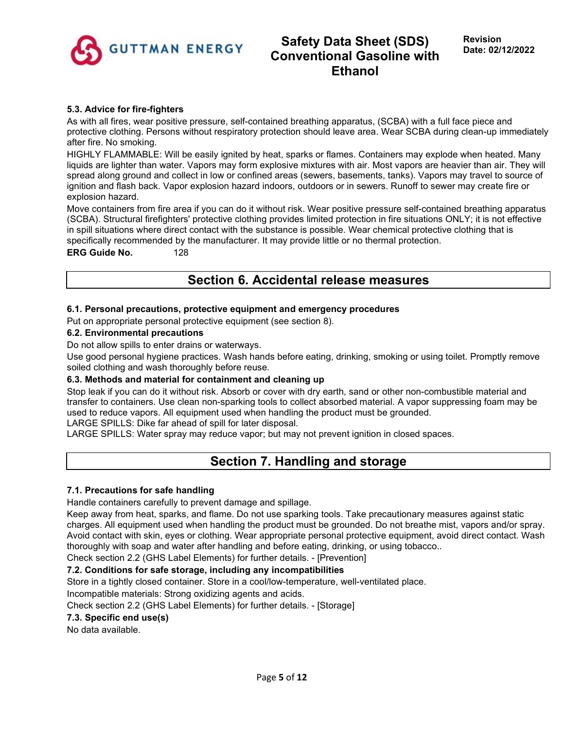

## **5.3. Advice for fire-fighters**

As with all fires, wear positive pressure, self-contained breathing apparatus, (SCBA) with a full face piece and protective clothing. Persons without respiratory protection should leave area. Wear SCBA during clean-up immediately after fire. No smoking.

HIGHLY FLAMMABLE: Will be easily ignited by heat, sparks or flames. Containers may explode when heated. Many liquids are lighter than water. Vapors may form explosive mixtures with air. Most vapors are heavier than air. They will spread along ground and collect in low or confined areas (sewers, basements, tanks). Vapors may travel to source of ignition and flash back. Vapor explosion hazard indoors, outdoors or in sewers. Runoff to sewer may create fire or explosion hazard.

Move containers from fire area if you can do it without risk. Wear positive pressure self-contained breathing apparatus (SCBA). Structural firefighters' protective clothing provides limited protection in fire situations ONLY; it is not effective in spill situations where direct contact with the substance is possible. Wear chemical protective clothing that is specifically recommended by the manufacturer. It may provide little or no thermal protection.

## **ERG Guide No.** 128

# **Section 6. Accidental release measures**

## **6.1. Personal precautions, protective equipment and emergency procedures**

Put on appropriate personal protective equipment (see section 8).

### **6.2. Environmental precautions**

Do not allow spills to enter drains or waterways.

Use good personal hygiene practices. Wash hands before eating, drinking, smoking or using toilet. Promptly remove soiled clothing and wash thoroughly before reuse.

### **6.3. Methods and material for containment and cleaning up**

Stop leak if you can do it without risk. Absorb or cover with dry earth, sand or other non-combustible material and transfer to containers. Use clean non-sparking tools to collect absorbed material. A vapor suppressing foam may be used to reduce vapors. All equipment used when handling the product must be grounded.

LARGE SPILLS: Dike far ahead of spill for later disposal.

LARGE SPILLS: Water spray may reduce vapor; but may not prevent ignition in closed spaces.

## **Section 7. Handling and storage**

### **7.1. Precautions for safe handling**

Handle containers carefully to prevent damage and spillage.

Keep away from heat, sparks, and flame. Do not use sparking tools. Take precautionary measures against static charges. All equipment used when handling the product must be grounded. Do not breathe mist, vapors and/or spray. Avoid contact with skin, eyes or clothing. Wear appropriate personal protective equipment, avoid direct contact. Wash thoroughly with soap and water after handling and before eating, drinking, or using tobacco..

Check section 2.2 (GHS Label Elements) for further details. - [Prevention]

## **7.2. Conditions for safe storage, including any incompatibilities**

Store in a tightly closed container. Store in a cool/low-temperature, well-ventilated place.

Incompatible materials: Strong oxidizing agents and acids.

Check section 2.2 (GHS Label Elements) for further details. - [Storage]

### **7.3. Specific end use(s)**

No data available.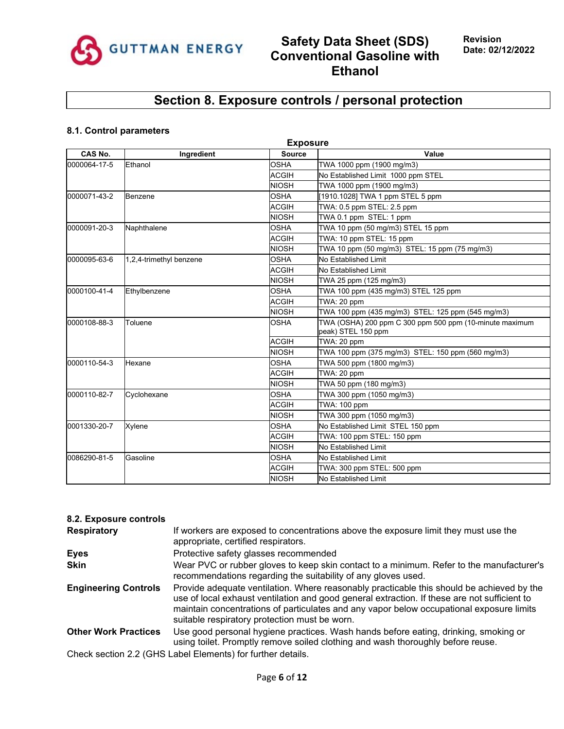

# **Section 8. Exposure controls / personal protection**

## **8.1. Control parameters**

|              | <b>Exposure</b>         |               |                                                                               |  |  |  |
|--------------|-------------------------|---------------|-------------------------------------------------------------------------------|--|--|--|
| CAS No.      | Ingredient              | <b>Source</b> | Value                                                                         |  |  |  |
| 0000064-17-5 | Ethanol                 | <b>OSHA</b>   | TWA 1000 ppm (1900 mg/m3)                                                     |  |  |  |
|              |                         | <b>ACGIH</b>  | No Established Limit 1000 ppm STEL                                            |  |  |  |
|              |                         | <b>NIOSH</b>  | TWA 1000 ppm (1900 mg/m3)                                                     |  |  |  |
| 0000071-43-2 | Benzene                 | <b>OSHA</b>   | [1910.1028] TWA 1 ppm STEL 5 ppm                                              |  |  |  |
|              |                         | <b>ACGIH</b>  | TWA: 0.5 ppm STEL: 2.5 ppm                                                    |  |  |  |
|              |                         | <b>NIOSH</b>  | TWA 0.1 ppm STEL: 1 ppm                                                       |  |  |  |
| 0000091-20-3 | Naphthalene             | <b>OSHA</b>   | TWA 10 ppm (50 mg/m3) STEL 15 ppm                                             |  |  |  |
|              |                         | <b>ACGIH</b>  | TWA: 10 ppm STEL: 15 ppm                                                      |  |  |  |
|              |                         | <b>NIOSH</b>  | TWA 10 ppm (50 mg/m3) STEL: 15 ppm (75 mg/m3)                                 |  |  |  |
| 0000095-63-6 | 1,2,4-trimethyl benzene | <b>OSHA</b>   | No Established Limit                                                          |  |  |  |
|              |                         | <b>ACGIH</b>  | No Established Limit                                                          |  |  |  |
|              |                         | <b>NIOSH</b>  | TWA 25 ppm (125 mg/m3)                                                        |  |  |  |
| 0000100-41-4 | Ethylbenzene            | <b>OSHA</b>   | TWA 100 ppm (435 mg/m3) STEL 125 ppm                                          |  |  |  |
|              |                         | <b>ACGIH</b>  | TWA: 20 ppm                                                                   |  |  |  |
|              |                         | <b>NIOSH</b>  | TWA 100 ppm (435 mg/m3) STEL: 125 ppm (545 mg/m3)                             |  |  |  |
| 0000108-88-3 | Toluene                 | <b>OSHA</b>   | TWA (OSHA) 200 ppm C 300 ppm 500 ppm (10-minute maximum<br>peak) STEL 150 ppm |  |  |  |
|              |                         | <b>ACGIH</b>  | TWA: 20 ppm                                                                   |  |  |  |
|              |                         | <b>NIOSH</b>  | TWA 100 ppm (375 mg/m3) STEL: 150 ppm (560 mg/m3)                             |  |  |  |
| 0000110-54-3 | Hexane                  | <b>OSHA</b>   | TWA 500 ppm (1800 mg/m3)                                                      |  |  |  |
|              |                         | <b>ACGIH</b>  | TWA: 20 ppm                                                                   |  |  |  |
|              |                         | <b>NIOSH</b>  | TWA 50 ppm (180 mg/m3)                                                        |  |  |  |
| 0000110-82-7 | Cyclohexane             | <b>OSHA</b>   | TWA 300 ppm (1050 mg/m3)                                                      |  |  |  |
|              |                         | <b>ACGIH</b>  | <b>TWA: 100 ppm</b>                                                           |  |  |  |
|              |                         | <b>NIOSH</b>  | TWA 300 ppm (1050 mg/m3)                                                      |  |  |  |
| 0001330-20-7 | Xylene                  | <b>OSHA</b>   | No Established Limit STEL 150 ppm                                             |  |  |  |
|              |                         | <b>ACGIH</b>  | TWA: 100 ppm STEL: 150 ppm                                                    |  |  |  |
|              |                         | <b>NIOSH</b>  | No Established Limit                                                          |  |  |  |
| 0086290-81-5 | Gasoline                | <b>OSHA</b>   | No Established Limit                                                          |  |  |  |
|              |                         | <b>ACGIH</b>  | TWA: 300 ppm STEL: 500 ppm                                                    |  |  |  |
|              |                         | <b>NIOSH</b>  | No Established Limit                                                          |  |  |  |

| 8.2. Exposure controls                                      |                                                                                                                                                                                                                                                                                                                                        |  |  |  |
|-------------------------------------------------------------|----------------------------------------------------------------------------------------------------------------------------------------------------------------------------------------------------------------------------------------------------------------------------------------------------------------------------------------|--|--|--|
| <b>Respiratory</b>                                          | If workers are exposed to concentrations above the exposure limit they must use the<br>appropriate, certified respirators.                                                                                                                                                                                                             |  |  |  |
| <b>Eyes</b>                                                 | Protective safety glasses recommended                                                                                                                                                                                                                                                                                                  |  |  |  |
| <b>Skin</b>                                                 | Wear PVC or rubber gloves to keep skin contact to a minimum. Refer to the manufacturer's<br>recommendations regarding the suitability of any gloves used.                                                                                                                                                                              |  |  |  |
| <b>Engineering Controls</b>                                 | Provide adequate ventilation. Where reasonably practicable this should be achieved by the<br>use of local exhaust ventilation and good general extraction. If these are not sufficient to<br>maintain concentrations of particulates and any vapor below occupational exposure limits<br>suitable respiratory protection must be worn. |  |  |  |
| <b>Other Work Practices</b>                                 | Use good personal hygiene practices. Wash hands before eating, drinking, smoking or<br>using toilet. Promptly remove soiled clothing and wash thoroughly before reuse.                                                                                                                                                                 |  |  |  |
| Check section 2.2 (GHS Label Elements) for further details. |                                                                                                                                                                                                                                                                                                                                        |  |  |  |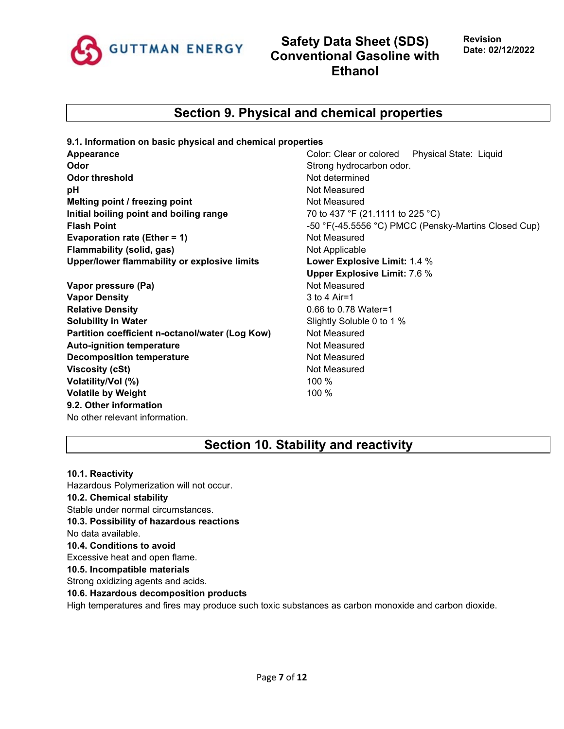

## **Section 9. Physical and chemical properties**

**9.1. Information on basic physical and chemical properties Appearance** Color: Clear or colored Physical State: Liquid **Odor** Strong hydrocarbon odor. **Odor threshold Not determined Not determined pH bH Not Measured Melting point / freezing point** Not Measured **Initial boiling point and boiling range 70 to 437 °F (21.1111 to 225 °C) Evaporation rate (Ether = 1)** Not Measured **Flammability (solid, gas)** Not Applicable **Upper/lower flammability or explosive limits Lower Explosive Limit:** 1.4 %

**Vapor pressure (Pa)** Not Measured **Vapor Density** 3 to 4 Air=1 **Relative Density Contract 2.000 Maters 2.000 Maters 2.000 Maters 2.000 Maters 2.000 Maters 2.000 Maters 2.000 Maters 2.000 Maters 2.000 Maters 2.000 Maters 2.000 Maters 2.000 Maters 2.000 Maters 2.000 Maters 2.000 Mater Solubility in Water** Soluble 0 to 1 % Partition coefficient n-octanol/water (Log Kow) Not Measured **Auto-ignition temperature** Not Measured **Decomposition temperature** Not Measured **Viscosity (cSt)** Not Measured **Volatility/Vol (%)** 100 % **Volatile by Weight** 100 % **9.2. Other information** No other relevant information.

**Flash Point Flash Point -50** °F(-45.5556 °C) PMCC (Pensky-Martins Closed Cup) **Upper Explosive Limit:** 7.6 %

## **Section 10. Stability and reactivity**

**10.1. Reactivity**

Hazardous Polymerization will not occur. **10.2. Chemical stability** Stable under normal circumstances. **10.3. Possibility of hazardous reactions** No data available. **10.4. Conditions to avoid** Excessive heat and open flame. **10.5. Incompatible materials** Strong oxidizing agents and acids. **10.6. Hazardous decomposition products**

High temperatures and fires may produce such toxic substances as carbon monoxide and carbon dioxide.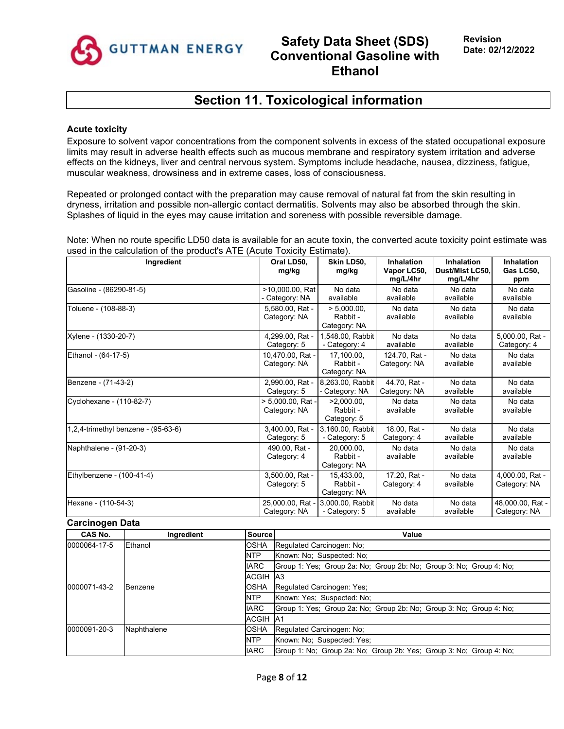

# **Section 11. Toxicological information**

### **Acute toxicity**

Exposure to solvent vapor concentrations from the component solvents in excess of the stated occupational exposure limits may result in adverse health effects such as mucous membrane and respiratory system irritation and adverse effects on the kidneys, liver and central nervous system. Symptoms include headache, nausea, dizziness, fatigue, muscular weakness, drowsiness and in extreme cases, loss of consciousness.

Repeated or prolonged contact with the preparation may cause removal of natural fat from the skin resulting in dryness, irritation and possible non-allergic contact dermatitis. Solvents may also be absorbed through the skin. Splashes of liquid in the eyes may cause irritation and soreness with possible reversible damage.

Note: When no route specific LD50 data is available for an acute toxin, the converted acute toxicity point estimate was used in the calculation of the product's ATE (Acute Toxicity Estimate).

| Ingredient                          | Oral LD50.<br>mg/kg               | Skin LD50.<br>mg/kg                        | Inhalation<br>Vapor LC50,<br>mg/L/4hr | Inhalation<br>Dust/Mist LC50.<br>mg/L/4hr | Inhalation<br>Gas LC50,<br>ppm   |
|-------------------------------------|-----------------------------------|--------------------------------------------|---------------------------------------|-------------------------------------------|----------------------------------|
| Gasoline - (86290-81-5)             | >10,000.00, Rat<br>Category: NA   | No data<br>available                       | No data<br>available                  | No data<br>available                      | No data<br>available             |
| Toluene - (108-88-3)                | 5,580.00, Rat -<br>Category: NA   | $> 5.000.00$ .<br>Rabbit -<br>Category: NA | No data<br>available                  | No data<br>available                      | No data<br>available             |
| Xylene - (1330-20-7)                | 4,299.00, Rat -<br>Category: 5    | 1,548.00, Rabbit<br>- Category: 4          | No data<br>available                  | No data<br>available                      | 5,000.00, Rat -<br>Category: 4   |
| Ethanol - (64-17-5)                 | 10,470.00, Rat -<br>Category: NA  | 17.100.00.<br>Rabbit -<br>Category: NA     | 124.70. Rat -<br>Category: NA         | No data<br>available                      | No data<br>available             |
| Benzene - (71-43-2)                 | 2,990.00, Rat -<br>Category: 5    | 8,263.00, Rabbit<br>Category: NA           | 44.70. Rat -<br>Category: NA          | No data<br>available                      | No data<br>available             |
| Cyclohexane - (110-82-7)            | > 5,000.00, Rat -<br>Category: NA | $>2,000.00$ ,<br>Rabbit -<br>Category: 5   | No data<br>available                  | No data<br>available                      | No data<br>available             |
| 1,2,4-trimethyl benzene - (95-63-6) | 3,400.00, Rat -<br>Category: 5    | 3,160.00, Rabbit<br>- Category: 5          | 18.00, Rat -<br>Category: 4           | No data<br>available                      | No data<br>available             |
| Naphthalene - (91-20-3)             | 490.00. Rat -<br>Category: 4      | 20.000.00.<br>Rabbit -<br>Category: NA     | No data<br>available                  | No data<br>available                      | No data<br>available             |
| Ethylbenzene - (100-41-4)           | 3,500.00, Rat -<br>Category: 5    | 15.433.00.<br>Rabbit -<br>Category: NA     | 17.20, Rat -<br>Category: 4           | No data<br>available                      | 4,000.00, Rat -<br>Category: NA  |
| Hexane - (110-54-3)                 | 25,000.00, Rat -<br>Category: NA  | 3.000.00. Rabbit<br>- Category: 5          | No data<br>available                  | No data<br>available                      | 48,000.00, Rat -<br>Category: NA |

#### **Carcinogen Data**

| CAS No.                 | Ingredient                        | <b>Source</b>   | Value                                                               |
|-------------------------|-----------------------------------|-----------------|---------------------------------------------------------------------|
| 0000064-17-5<br>Ethanol |                                   | <b>OSHA</b>     | Regulated Carcinogen: No:                                           |
|                         |                                   | <b>NTP</b>      | Known: No: Suspected: No:                                           |
|                         |                                   | <b>IARC</b>     | Group 1: Yes: Group 2a: No: Group 2b: No: Group 3: No: Group 4: No: |
|                         |                                   | <b>ACGIH A3</b> |                                                                     |
| 0000071-43-2            | OSHA<br>Benzene<br><b>NTP</b>     |                 | Regulated Carcinogen: Yes:                                          |
|                         |                                   |                 | Known: Yes: Suspected: No:                                          |
|                         |                                   | <b>IARC</b>     | Group 1: Yes; Group 2a: No; Group 2b: No; Group 3: No; Group 4: No; |
|                         |                                   | <b>ACGIH A1</b> |                                                                     |
| 0000091-20-3            | Naphthalene<br>OSHA<br><b>NTP</b> |                 | Regulated Carcinogen: No;                                           |
|                         |                                   |                 | Known: No: Suspected: Yes:                                          |
|                         |                                   | <b>IARC</b>     | Group 1: No: Group 2a: No: Group 2b: Yes: Group 3: No: Group 4: No: |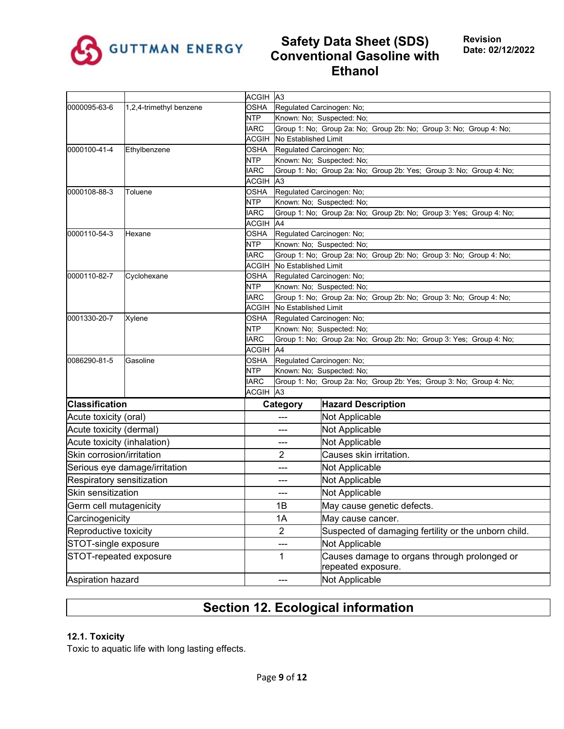

|                             |                               | ACGIH A3                  |                                                                                            |                                                                                                 |  |  |
|-----------------------------|-------------------------------|---------------------------|--------------------------------------------------------------------------------------------|-------------------------------------------------------------------------------------------------|--|--|
| 0000095-63-6                | 1,2,4-trimethyl benzene       | <b>OSHA</b>               |                                                                                            | Regulated Carcinogen: No;                                                                       |  |  |
|                             |                               | <b>NTP</b>                | Known: No; Suspected: No;                                                                  |                                                                                                 |  |  |
|                             |                               | <b>IARC</b>               | Group 1: No; Group 2a: No; Group 2b: No; Group 3: No; Group 4: No;<br>No Established Limit |                                                                                                 |  |  |
| 0000100-41-4                | <b>ACGIH</b><br><b>OSHA</b>   |                           |                                                                                            |                                                                                                 |  |  |
|                             | Ethylbenzene                  | <b>NTP</b>                |                                                                                            | Regulated Carcinogen: No;<br>Known: No; Suspected: No;                                          |  |  |
|                             |                               | <b>IARC</b>               |                                                                                            | Group 1: No; Group 2a: No; Group 2b: Yes; Group 3: No; Group 4: No;                             |  |  |
|                             |                               | <b>ACGIH</b>              | A3                                                                                         |                                                                                                 |  |  |
| 0000108-88-3                | Toluene                       | <b>OSHA</b>               | Regulated Carcinogen: No;                                                                  |                                                                                                 |  |  |
|                             |                               | <b>NTP</b>                |                                                                                            | Known: No; Suspected: No;                                                                       |  |  |
|                             |                               | <b>IARC</b>               |                                                                                            | Group 1: No; Group 2a: No; Group 2b: No; Group 3: Yes; Group 4: No;                             |  |  |
|                             |                               | <b>ACGIH</b>              | A4                                                                                         |                                                                                                 |  |  |
| 0000110-54-3                | Hexane                        | <b>OSHA</b>               |                                                                                            | Regulated Carcinogen: No;                                                                       |  |  |
|                             |                               | <b>NTP</b>                |                                                                                            | Known: No; Suspected: No;                                                                       |  |  |
|                             |                               | <b>IARC</b>               |                                                                                            | Group 1: No; Group 2a: No; Group 2b: No; Group 3: No; Group 4: No;                              |  |  |
|                             |                               | <b>ACGIH</b>              | No Established Limit                                                                       |                                                                                                 |  |  |
| 0000110-82-7                | Cyclohexane                   | <b>OSHA</b>               |                                                                                            | Regulated Carcinogen: No;                                                                       |  |  |
|                             |                               | <b>NTP</b><br><b>IARC</b> |                                                                                            | Known: No; Suspected: No;<br>Group 1: No; Group 2a: No; Group 2b: No; Group 3: No; Group 4: No; |  |  |
|                             |                               | <b>ACGIH</b>              | No Established Limit                                                                       |                                                                                                 |  |  |
| 0001330-20-7                | Xylene                        | <b>OSHA</b>               | Regulated Carcinogen: No;                                                                  |                                                                                                 |  |  |
|                             |                               | <b>NTP</b>                | Known: No; Suspected: No;                                                                  |                                                                                                 |  |  |
|                             |                               | <b>IARC</b>               | Group 1: No; Group 2a: No; Group 2b: No; Group 3: Yes; Group 4: No;                        |                                                                                                 |  |  |
|                             |                               | <b>ACGIH</b>              | A4                                                                                         |                                                                                                 |  |  |
| 0086290-81-5                | Gasoline                      | <b>OSHA</b>               |                                                                                            | Regulated Carcinogen: No;                                                                       |  |  |
|                             |                               | <b>NTP</b>                |                                                                                            | Known: No; Suspected: No;                                                                       |  |  |
|                             |                               | <b>IARC</b>               |                                                                                            | Group 1: No; Group 2a: No; Group 2b: Yes; Group 3: No; Group 4: No;                             |  |  |
|                             |                               | ACGIH                     | A <sub>3</sub>                                                                             |                                                                                                 |  |  |
| <b>Classification</b>       |                               |                           | Category                                                                                   | <b>Hazard Description</b>                                                                       |  |  |
| Acute toxicity (oral)       |                               |                           | ---                                                                                        | Not Applicable                                                                                  |  |  |
| Acute toxicity (dermal)     |                               |                           | ---                                                                                        | Not Applicable                                                                                  |  |  |
| Acute toxicity (inhalation) |                               |                           | ---                                                                                        | Not Applicable                                                                                  |  |  |
| Skin corrosion/irritation   |                               |                           | 2                                                                                          | Causes skin irritation.                                                                         |  |  |
|                             | Serious eye damage/irritation |                           | ---                                                                                        | Not Applicable                                                                                  |  |  |
| Respiratory sensitization   |                               |                           | ---                                                                                        | Not Applicable                                                                                  |  |  |
| Skin sensitization          |                               |                           | ---                                                                                        | <b>Not Applicable</b>                                                                           |  |  |
| Germ cell mutagenicity      |                               |                           | 1B                                                                                         | May cause genetic defects.                                                                      |  |  |
| Carcinogenicity             |                               |                           | 1A                                                                                         | May cause cancer.                                                                               |  |  |
| Reproductive toxicity       |                               |                           | $\overline{2}$                                                                             | Suspected of damaging fertility or the unborn child.                                            |  |  |
| STOT-single exposure        |                               |                           | ---                                                                                        | Not Applicable                                                                                  |  |  |
| STOT-repeated exposure      |                               |                           | 1                                                                                          | Causes damage to organs through prolonged or<br>repeated exposure.                              |  |  |
| Aspiration hazard           |                               |                           | ---                                                                                        | Not Applicable                                                                                  |  |  |
|                             |                               |                           |                                                                                            |                                                                                                 |  |  |

# **Section 12. Ecological information**

## **12.1. Toxicity**

Toxic to aquatic life with long lasting effects.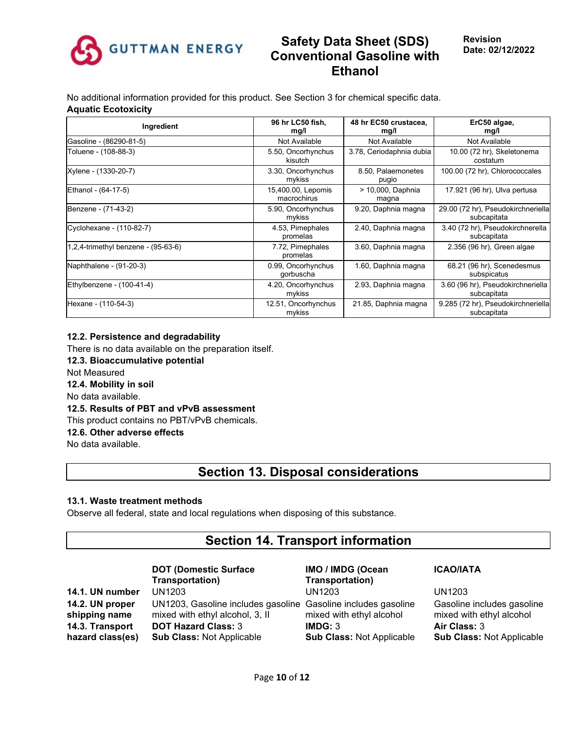

No additional information provided for this product. See Section 3 for chemical specific data. **Aquatic Ecotoxicity**

| Ingredient                             | 96 hr LC50 fish,<br>mq/l          | 48 hr EC50 crustacea,<br>mg/l | ErC50 algae,<br>mg/l                              |
|----------------------------------------|-----------------------------------|-------------------------------|---------------------------------------------------|
| Gasoline - (86290-81-5)                | Not Available                     | Not Available                 | Not Available                                     |
| Toluene - (108-88-3)                   | 5.50, Oncorhynchus<br>kisutch     | 3.78, Ceriodaphnia dubia      | 10.00 (72 hr), Skeletonema<br>costatum            |
| Xylene - (1330-20-7)                   | 3.30, Oncorhynchus<br>mykiss      | 8.50, Palaemonetes<br>pugio   | 100.00 (72 hr), Chlorococcales                    |
| Ethanol - (64-17-5)                    | 15,400.00, Lepomis<br>macrochirus | > 10,000, Daphnia<br>magna    | 17.921 (96 hr), Ulva pertusa                      |
| Benzene - (71-43-2)                    | 5.90, Oncorhynchus<br>mykiss      | 9.20, Daphnia magna           | 29.00 (72 hr), Pseudokirchneriella<br>subcapitata |
| Cyclohexane - (110-82-7)               | 4.53, Pimephales<br>promelas      | 2.40, Daphnia magna           | 3.40 (72 hr), Pseudokirchnerella<br>subcapitata   |
| $1,2,4$ -trimethyl benzene - (95-63-6) | 7.72, Pimephales<br>promelas      | 3.60, Daphnia magna           | $2.356$ (96 hr), Green algae                      |
| Naphthalene - (91-20-3)                | 0.99, Oncorhynchus<br>gorbuscha   | 1.60, Daphnia magna           | 68.21 (96 hr), Scenedesmus<br>subspicatus         |
| Ethylbenzene - (100-41-4)              | 4.20, Oncorhynchus<br>mykiss      | 2.93, Daphnia magna           | 3.60 (96 hr), Pseudokirchneriella<br>subcapitata  |
| Hexane - (110-54-3)                    | 12.51, Oncorhynchus<br>mykiss     | 21.85, Daphnia magna          | 9.285 (72 hr), Pseudokirchneriella<br>subcapitata |

## **12.2. Persistence and degradability**

There is no data available on the preparation itself. **12.3. Bioaccumulative potential** Not Measured **12.4. Mobility in soil** No data available. **12.5. Results of PBT and vPvB assessment** This product contains no PBT/vPvB chemicals. **12.6. Other adverse effects** No data available.

## **Section 13. Disposal considerations**

### **13.1. Waste treatment methods**

Observe all federal, state and local regulations when disposing of this substance.

## **Section 14. Transport information**

#### **DOT (Domestic Surface Transportation)**

**14.2. UN proper shipping name 14.3. Transport hazard class(es)**

**14.1. UN number** UN1203 UN1203 UN1203 UN1203, Gasoline includes gasoline Gasoline includes gasoline mixed with ethyl alcohol, 3, II **DOT Hazard Class:** 3 **Sub Class:** Not Applicable

**IMO / IMDG (Ocean Transportation)** mixed with ethyl alcohol **IMDG:** 3 **Sub Class:** Not Applicable

## **ICAO/IATA**

Gasoline includes gasoline mixed with ethyl alcohol **Air Class:** 3 **Sub Class:** Not Applicable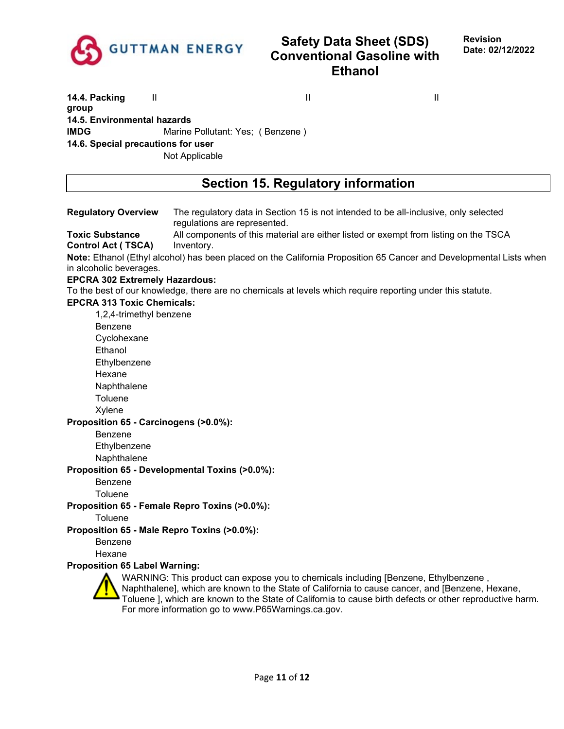

**14.4. Packing group** II II II **14.5. Environmental hazards IMDG** Marine Pollutant: Yes; (Benzene) **14.6. Special precautions for user** Not Applicable

# **Section 15. Regulatory information**

| <b>Regulatory Overview</b>                          | The regulatory data in Section 15 is not intended to be all-inclusive, only selected<br>regulations are represented.                                                                                                                                                                               |
|-----------------------------------------------------|----------------------------------------------------------------------------------------------------------------------------------------------------------------------------------------------------------------------------------------------------------------------------------------------------|
| <b>Toxic Substance</b><br><b>Control Act (TSCA)</b> | All components of this material are either listed or exempt from listing on the TSCA<br>Inventory.                                                                                                                                                                                                 |
|                                                     | Note: Ethanol (Ethyl alcohol) has been placed on the California Proposition 65 Cancer and Developmental Lists when                                                                                                                                                                                 |
| in alcoholic beverages.                             |                                                                                                                                                                                                                                                                                                    |
| <b>EPCRA 302 Extremely Hazardous:</b>               |                                                                                                                                                                                                                                                                                                    |
|                                                     | To the best of our knowledge, there are no chemicals at levels which require reporting under this statute.                                                                                                                                                                                         |
| <b>EPCRA 313 Toxic Chemicals:</b>                   |                                                                                                                                                                                                                                                                                                    |
| 1,2,4-trimethyl benzene                             |                                                                                                                                                                                                                                                                                                    |
| Benzene                                             |                                                                                                                                                                                                                                                                                                    |
| Cyclohexane                                         |                                                                                                                                                                                                                                                                                                    |
| Ethanol                                             |                                                                                                                                                                                                                                                                                                    |
| Ethylbenzene                                        |                                                                                                                                                                                                                                                                                                    |
| Hexane                                              |                                                                                                                                                                                                                                                                                                    |
| Naphthalene                                         |                                                                                                                                                                                                                                                                                                    |
| Toluene                                             |                                                                                                                                                                                                                                                                                                    |
| Xylene                                              |                                                                                                                                                                                                                                                                                                    |
| Proposition 65 - Carcinogens (>0.0%):               |                                                                                                                                                                                                                                                                                                    |
| Benzene                                             |                                                                                                                                                                                                                                                                                                    |
| Ethylbenzene                                        |                                                                                                                                                                                                                                                                                                    |
| Naphthalene                                         |                                                                                                                                                                                                                                                                                                    |
| Proposition 65 - Developmental Toxins (>0.0%):      |                                                                                                                                                                                                                                                                                                    |
| <b>Benzene</b>                                      |                                                                                                                                                                                                                                                                                                    |
| Toluene                                             |                                                                                                                                                                                                                                                                                                    |
|                                                     |                                                                                                                                                                                                                                                                                                    |
| Proposition 65 - Female Repro Toxins (>0.0%):       |                                                                                                                                                                                                                                                                                                    |
| Toluene                                             |                                                                                                                                                                                                                                                                                                    |
| Proposition 65 - Male Repro Toxins (>0.0%):         |                                                                                                                                                                                                                                                                                                    |
| Benzene                                             |                                                                                                                                                                                                                                                                                                    |
| Hexane                                              |                                                                                                                                                                                                                                                                                                    |
| <b>Proposition 65 Label Warning:</b>                |                                                                                                                                                                                                                                                                                                    |
|                                                     | WARNING: This product can expose you to chemicals including [Benzene, Ethylbenzene,<br>Naphthalene], which are known to the State of California to cause cancer, and [Benzene, Hexane,<br>Toluene ], which are known to the State of California to cause birth defects or other reproductive harm. |
|                                                     | For more information go to www.P65Warnings.ca.gov.                                                                                                                                                                                                                                                 |
|                                                     |                                                                                                                                                                                                                                                                                                    |
|                                                     |                                                                                                                                                                                                                                                                                                    |
|                                                     |                                                                                                                                                                                                                                                                                                    |
|                                                     |                                                                                                                                                                                                                                                                                                    |